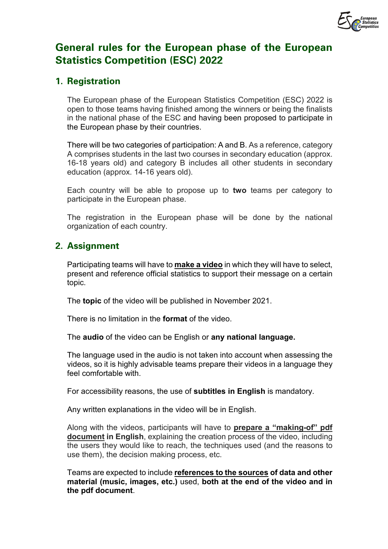

# **General rules for the European phase of the European Statistics Competition (ESC) 2022**

### **1. Registration**

The European phase of the European Statistics Competition (ESC) 2022 is open to those teams having finished among the winners or being the finalists in the national phase of the ESC and having been proposed to participate in the European phase by their countries.

There will be two categories of participation: A and B. As a reference, category A comprises students in the last two courses in secondary education (approx. 16-18 years old) and category B includes all other students in secondary education (approx. 14-16 years old).

Each country will be able to propose up to **two** teams per category to participate in the European phase.

The registration in the European phase will be done by the national organization of each country.

# **2. Assignment**

Participating teams will have to **make a video** in which they will have to select, present and reference official statistics to support their message on a certain topic.

The **topic** of the video will be published in November 2021.

There is no limitation in the **format** of the video.

The **audio** of the video can be English or **any national language.** 

The language used in the audio is not taken into account when assessing the videos, so it is highly advisable teams prepare their videos in a language they feel comfortable with.

For accessibility reasons, the use of **subtitles in English** is mandatory.

Any written explanations in the video will be in English.

Along with the videos, participants will have to **prepare a "making-of" pdf document in English**, explaining the creation process of the video, including the users they would like to reach, the techniques used (and the reasons to use them), the decision making process, etc.

Teams are expected to include **references to the sources of data and other material (music, images, etc.)** used, **both at the end of the video and in the pdf document**.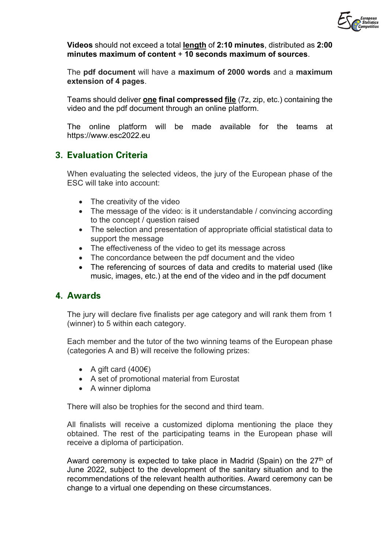

**Videos** should not exceed a total **length** of **2:10 minutes**, distributed as **2:00 minutes maximum of content** + **10 seconds maximum of sources**.

The **pdf document** will have a **maximum of 2000 words** and a **maximum extension of 4 pages**.

Teams should deliver **one final compressed file** (7z, zip, etc.) containing the video and the pdf document through an online platform.

The online platform will be made available for the teams at https://www.esc2022.eu

# **3. Evaluation Criteria**

When evaluating the selected videos, the jury of the European phase of the ESC will take into account:

- The creativity of the video
- The message of the video: is it understandable / convincing according to the concept / question raised
- The selection and presentation of appropriate official statistical data to support the message
- The effectiveness of the video to get its message across
- The concordance between the pdf document and the video
- The referencing of sources of data and credits to material used (like music, images, etc.) at the end of the video and in the pdf document

#### **4. Awards**

The jury will declare five finalists per age category and will rank them from 1 (winner) to 5 within each category.

Each member and the tutor of the two winning teams of the European phase (categories A and B) will receive the following prizes:

- A gift card  $(400 $\epsilon$ )$
- A set of promotional material from Eurostat
- A winner diploma

There will also be trophies for the second and third team.

All finalists will receive a customized diploma mentioning the place they obtained. The rest of the participating teams in the European phase will receive a diploma of participation.

Award ceremony is expected to take place in Madrid (Spain) on the  $27<sup>th</sup>$  of June 2022, subject to the development of the sanitary situation and to the recommendations of the relevant health authorities. Award ceremony can be change to a virtual one depending on these circumstances.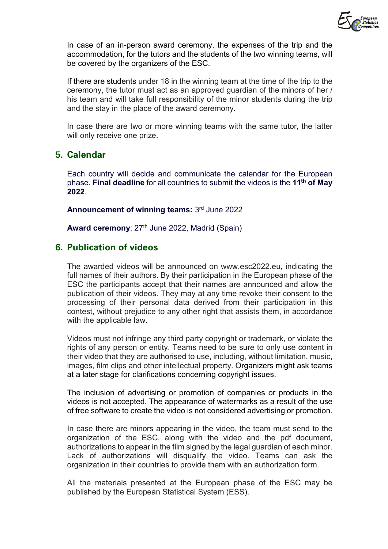

In case of an in-person award ceremony, the expenses of the trip and the accommodation, for the tutors and the students of the two winning teams, will be covered by the organizers of the ESC.

If there are students under 18 in the winning team at the time of the trip to the ceremony, the tutor must act as an approved guardian of the minors of her / his team and will take full responsibility of the minor students during the trip and the stay in the place of the award ceremony.

In case there are two or more winning teams with the same tutor, the latter will only receive one prize.

#### **5. Calendar**

Each country will decide and communicate the calendar for the European phase. **Final deadline** for all countries to submit the videos is the **11th of May 2022**.

**Announcement of winning teams:** 3rd June 2022

Award ceremony: 27<sup>th</sup> June 2022, Madrid (Spain)

#### **6. Publication of videos**

The awarded videos will be announced on www.esc2022.eu, indicating the full names of their authors. By their participation in the European phase of the ESC the participants accept that their names are announced and allow the publication of their videos. They may at any time revoke their consent to the processing of their personal data derived from their participation in this contest, without prejudice to any other right that assists them, in accordance with the applicable law.

Videos must not infringe any third party copyright or trademark, or violate the rights of any person or entity. Teams need to be sure to only use content in their video that they are authorised to use, including, without limitation, music, images, film clips and other intellectual property. Organizers might ask teams at a later stage for clarifications concerning copyright issues.

The inclusion of advertising or promotion of companies or products in the videos is not accepted. The appearance of watermarks as a result of the use of free software to create the video is not considered advertising or promotion.

In case there are minors appearing in the video, the team must send to the organization of the ESC, along with the video and the pdf document, authorizations to appear in the film signed by the legal guardian of each minor. Lack of authorizations will disqualify the video. Teams can ask the organization in their countries to provide them with an authorization form.

All the materials presented at the European phase of the ESC may be published by the European Statistical System (ESS).